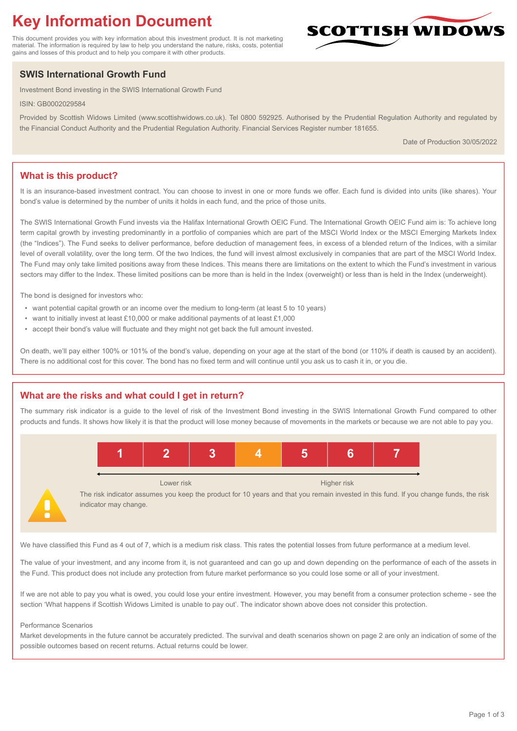# **Key Information Document**

This document provides you with key information about this investment product. It is not marketing material. The information is required by law to help you understand the nature, risks, costs, potential gains and losses of this product and to help you compare it with other products.

## **SWIS International Growth Fund**

Investment Bond investing in the SWIS International Growth Fund

ISIN: GB0002029584

Provided by Scottish Widows Limited (www.scottishwidows.co.uk). Tel 0800 592925. Authorised by the Prudential Regulation Authority and regulated by the Financial Conduct Authority and the Prudential Regulation Authority. Financial Services Register number 181655.

Date of Production 30/05/2022

**SCOTTISH WIDOW** 

### **What is this product?**

It is an insurance-based investment contract. You can choose to invest in one or more funds we offer. Each fund is divided into units (like shares). Your bond's value is determined by the number of units it holds in each fund, and the price of those units.

The SWIS International Growth Fund invests via the Halifax International Growth OEIC Fund. The International Growth OEIC Fund aim is: To achieve long term capital growth by investing predominantly in a portfolio of companies which are part of the MSCI World Index or the MSCI Emerging Markets Index (the "Indices"). The Fund seeks to deliver performance, before deduction of management fees, in excess of a blended return of the Indices, with a similar level of overall volatility, over the long term. Of the two Indices, the fund will invest almost exclusively in companies that are part of the MSCI World Index. The Fund may only take limited positions away from these Indices. This means there are limitations on the extent to which the Fund's investment in various sectors may differ to the Index. These limited positions can be more than is held in the Index (overweight) or less than is held in the Index (underweight).

The bond is designed for investors who:

- want potential capital growth or an income over the medium to long-term (at least 5 to 10 years)
- want to initially invest at least £10,000 or make additional payments of at least £1,000
- accept their bond's value will fluctuate and they might not get back the full amount invested.

On death, we'll pay either 100% or 101% of the bond's value, depending on your age at the start of the bond (or 110% if death is caused by an accident). There is no additional cost for this cover. The bond has no fixed term and will continue until you ask us to cash it in, or you die.

#### **What are the risks and what could I get in return?**

The summary risk indicator is a guide to the level of risk of the Investment Bond investing in the SWIS International Growth Fund compared to other products and funds. It shows how likely it is that the product will lose money because of movements in the markets or because we are not able to pay you.



The risk indicator assumes you keep the product for 10 years and that you remain invested in this fund. If you change funds, the risk indicator may change.

We have classified this Fund as 4 out of 7, which is a medium risk class. This rates the potential losses from future performance at a medium level.

The value of your investment, and any income from it, is not guaranteed and can go up and down depending on the performance of each of the assets in the Fund. This product does not include any protection from future market performance so you could lose some or all of your investment.

If we are not able to pay you what is owed, you could lose your entire investment. However, you may benefit from a consumer protection scheme - see the section 'What happens if Scottish Widows Limited is unable to pay out'. The indicator shown above does not consider this protection.

#### Performance Scenarios

Market developments in the future cannot be accurately predicted. The survival and death scenarios shown on page 2 are only an indication of some of the possible outcomes based on recent returns. Actual returns could be lower.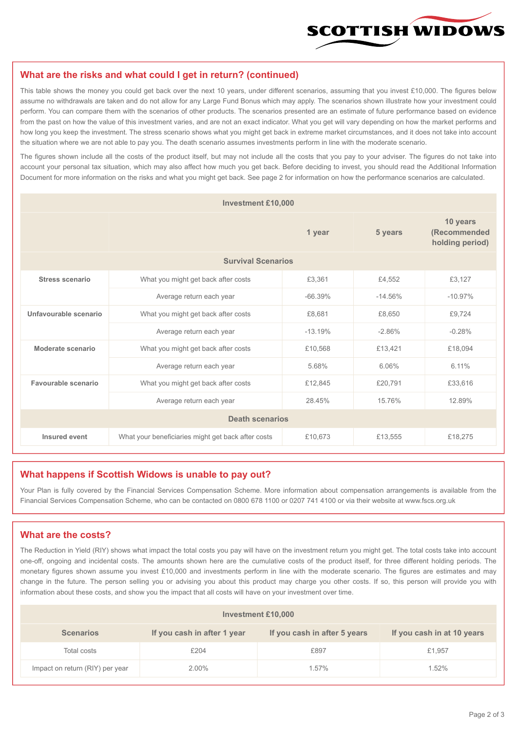

#### **What are the risks and what could I get in return? (continued)**

This table shows the money you could get back over the next 10 years, under different scenarios, assuming that you invest £10,000. The figures below assume no withdrawals are taken and do not allow for any Large Fund Bonus which may apply. The scenarios shown illustrate how your investment could perform. You can compare them with the scenarios of other products. The scenarios presented are an estimate of future performance based on evidence from the past on how the value of this investment varies, and are not an exact indicator. What you get will vary depending on how the market performs and how long you keep the investment. The stress scenario shows what you might get back in extreme market circumstances, and it does not take into account the situation where we are not able to pay you. The death scenario assumes investments perform in line with the moderate scenario.

The figures shown include all the costs of the product itself, but may not include all the costs that you pay to your adviser. The figures do not take into account your personal tax situation, which may also affect how much you get back. Before deciding to invest, you should read the Additional Information Document for more information on the risks and what you might get back. See page 2 for information on how the performance scenarios are calculated.

| <b>Investment £10,000</b> |                                                    |           |            |                                             |  |  |
|---------------------------|----------------------------------------------------|-----------|------------|---------------------------------------------|--|--|
|                           | 1 year                                             |           | 5 years    | 10 years<br>(Recommended<br>holding period) |  |  |
| <b>Survival Scenarios</b> |                                                    |           |            |                                             |  |  |
| <b>Stress scenario</b>    | What you might get back after costs                | £3,361    | £4,552     | £3,127                                      |  |  |
|                           | Average return each year                           | $-66.39%$ | $-14.56\%$ | $-10.97%$                                   |  |  |
| Unfavourable scenario     | What you might get back after costs<br>£8,681      |           | £8,650     | £9,724                                      |  |  |
|                           | Average return each year                           | $-13.19%$ | $-2.86%$   | $-0.28%$                                    |  |  |
| Moderate scenario         | What you might get back after costs                | £10,568   | £13,421    | £18,094                                     |  |  |
|                           | Average return each year                           | 5.68%     | 6.06%      | 6.11%                                       |  |  |
| Favourable scenario       | What you might get back after costs                | £12,845   | £20,791    | £33,616                                     |  |  |
| Average return each year  |                                                    | 28.45%    | 15.76%     | 12.89%                                      |  |  |
| <b>Death scenarios</b>    |                                                    |           |            |                                             |  |  |
| Insured event             | What your beneficiaries might get back after costs | £10,673   | £13,555    | £18,275                                     |  |  |

#### **What happens if Scottish Widows is unable to pay out?**

Your Plan is fully covered by the Financial Services Compensation Scheme. More information about compensation arrangements is available from the Financial Services Compensation Scheme, who can be contacted on 0800 678 1100 or 0207 741 4100 or via their website at www.fscs.org.uk

#### **What are the costs?**

The Reduction in Yield (RIY) shows what impact the total costs you pay will have on the investment return you might get. The total costs take into account one-off, ongoing and incidental costs. The amounts shown here are the cumulative costs of the product itself, for three different holding periods. The monetary figures shown assume you invest £10,000 and investments perform in line with the moderate scenario. The figures are estimates and may change in the future. The person selling you or advising you about this product may charge you other costs. If so, this person will provide you with information about these costs, and show you the impact that all costs will have on your investment over time.

| Investment £10,000              |                             |                              |                            |  |  |  |
|---------------------------------|-----------------------------|------------------------------|----------------------------|--|--|--|
| <b>Scenarios</b>                | If you cash in after 1 year | If you cash in after 5 years | If you cash in at 10 years |  |  |  |
| Total costs                     | £204                        | £897                         | £1,957                     |  |  |  |
| Impact on return (RIY) per year | 2.00%                       | 1.57%                        | 1.52%                      |  |  |  |